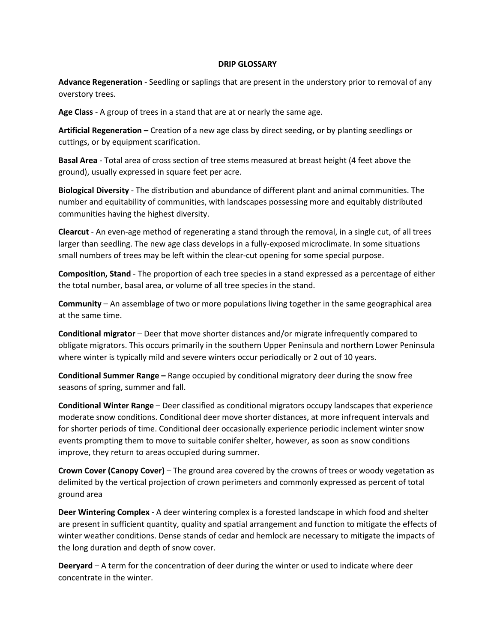## **DRIP GLOSSARY**

**Advance Regeneration** - Seedling or saplings that are present in the understory prior to removal of any overstory trees.

**Age Class** - A group of trees in a stand that are at or nearly the same age.

**Artificial Regeneration –** Creation of a new age class by direct seeding, or by planting seedlings or cuttings, or by equipment scarification.

**Basal Area** - Total area of cross section of tree stems measured at breast height (4 feet above the ground), usually expressed in square feet per acre.

**Biological Diversity** - The distribution and abundance of different plant and animal communities. The number and equitability of communities, with landscapes possessing more and equitably distributed communities having the highest diversity.

**Clearcut** - An even-age method of regenerating a stand through the removal, in a single cut, of all trees larger than seedling. The new age class develops in a fully-exposed microclimate. In some situations small numbers of trees may be left within the clear-cut opening for some special purpose.

**Composition, Stand** - The proportion of each tree species in a stand expressed as a percentage of either the total number, basal area, or volume of all tree species in the stand.

**Community** – An assemblage of two or more populations living together in the same geographical area at the same time.

**Conditional migrator** – Deer that move shorter distances and/or migrate infrequently compared to obligate migrators. This occurs primarily in the southern Upper Peninsula and northern Lower Peninsula where winter is typically mild and severe winters occur periodically or 2 out of 10 years.

**Conditional Summer Range –** Range occupied by conditional migratory deer during the snow free seasons of spring, summer and fall.

**Conditional Winter Range** – Deer classified as conditional migrators occupy landscapes that experience moderate snow conditions. Conditional deer move shorter distances, at more infrequent intervals and for shorter periods of time. Conditional deer occasionally experience periodic inclement winter snow events prompting them to move to suitable conifer shelter, however, as soon as snow conditions improve, they return to areas occupied during summer.

**Crown Cover (Canopy Cover)** – The ground area covered by the crowns of trees or woody vegetation as delimited by the vertical projection of crown perimeters and commonly expressed as percent of total ground area

**Deer Wintering Complex** - A deer wintering complex is a forested landscape in which food and shelter are present in sufficient quantity, quality and spatial arrangement and function to mitigate the effects of winter weather conditions. Dense stands of cedar and hemlock are necessary to mitigate the impacts of the long duration and depth of snow cover.

**Deeryard** – A term for the concentration of deer during the winter or used to indicate where deer concentrate in the winter.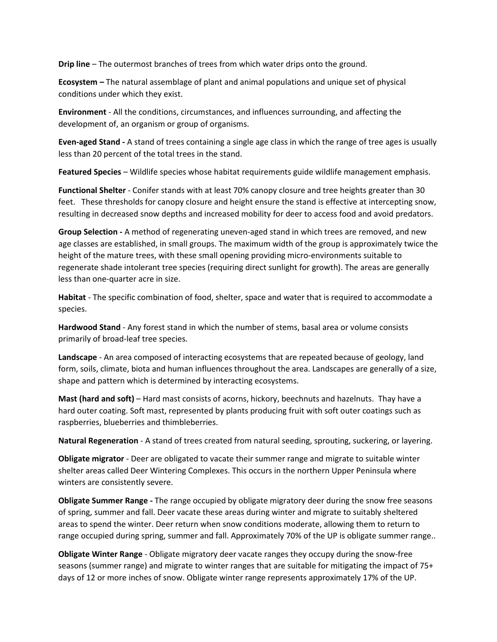**Drip line** – The outermost branches of trees from which water drips onto the ground.

**Ecosystem –** The natural assemblage of plant and animal populations and unique set of physical conditions under which they exist.

**Environment** - All the conditions, circumstances, and influences surrounding, and affecting the development of, an organism or group of organisms.

**Even-aged Stand -** A stand of trees containing a single age class in which the range of tree ages is usually less than 20 percent of the total trees in the stand.

**Featured Species** – Wildlife species whose habitat requirements guide wildlife management emphasis.

**Functional Shelter** - Conifer stands with at least 70% canopy closure and tree heights greater than 30 feet. These thresholds for canopy closure and height ensure the stand is effective at intercepting snow, resulting in decreased snow depths and increased mobility for deer to access food and avoid predators.

**Group Selection -** A method of regenerating uneven-aged stand in which trees are removed, and new age classes are established, in small groups. The maximum width of the group is approximately twice the height of the mature trees, with these small opening providing micro-environments suitable to regenerate shade intolerant tree species (requiring direct sunlight for growth). The areas are generally less than one-quarter acre in size.

**Habitat** - The specific combination of food, shelter, space and water that is required to accommodate a species.

**Hardwood Stand** - Any forest stand in which the number of stems, basal area or volume consists primarily of broad-leaf tree species.

**Landscape** - An area composed of interacting ecosystems that are repeated because of geology, land form, soils, climate, biota and human influences throughout the area. Landscapes are generally of a size, shape and pattern which is determined by interacting ecosystems.

**Mast (hard and soft)** – Hard mast consists of acorns, hickory, beechnuts and hazelnuts. Thay have a hard outer coating. Soft mast, represented by plants producing fruit with soft outer coatings such as raspberries, blueberries and thimbleberries.

**Natural Regeneration** - A stand of trees created from natural seeding, sprouting, suckering, or layering.

**Obligate migrator** - Deer are obligated to vacate their summer range and migrate to suitable winter shelter areas called Deer Wintering Complexes. This occurs in the northern Upper Peninsula where winters are consistently severe.

**Obligate Summer Range -** The range occupied by obligate migratory deer during the snow free seasons of spring, summer and fall. Deer vacate these areas during winter and migrate to suitably sheltered areas to spend the winter. Deer return when snow conditions moderate, allowing them to return to range occupied during spring, summer and fall. Approximately 70% of the UP is obligate summer range..

**Obligate Winter Range** - Obligate migratory deer vacate ranges they occupy during the snow-free seasons (summer range) and migrate to winter ranges that are suitable for mitigating the impact of 75+ days of 12 or more inches of snow. Obligate winter range represents approximately 17% of the UP.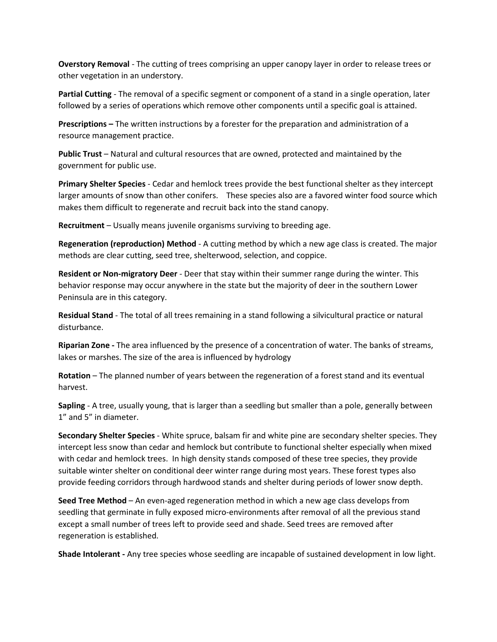**Overstory Removal** - The cutting of trees comprising an upper canopy layer in order to release trees or other vegetation in an understory.

**Partial Cutting** - The removal of a specific segment or component of a stand in a single operation, later followed by a series of operations which remove other components until a specific goal is attained.

**Prescriptions –** The written instructions by a forester for the preparation and administration of a resource management practice.

**Public Trust** – Natural and cultural resources that are owned, protected and maintained by the government for public use.

**Primary Shelter Species** - Cedar and hemlock trees provide the best functional shelter as they intercept larger amounts of snow than other conifers. These species also are a favored winter food source which makes them difficult to regenerate and recruit back into the stand canopy.

**Recruitment** – Usually means juvenile organisms surviving to breeding age.

**Regeneration (reproduction) Method** - A cutting method by which a new age class is created. The major methods are clear cutting, seed tree, shelterwood, selection, and coppice.

**Resident or Non-migratory Deer** - Deer that stay within their summer range during the winter. This behavior response may occur anywhere in the state but the majority of deer in the southern Lower Peninsula are in this category.

**Residual Stand** - The total of all trees remaining in a stand following a silvicultural practice or natural disturbance.

**Riparian Zone -** The area influenced by the presence of a concentration of water. The banks of streams, lakes or marshes. The size of the area is influenced by hydrology

**Rotation** – The planned number of years between the regeneration of a forest stand and its eventual harvest.

**Sapling** - A tree, usually young, that is larger than a seedling but smaller than a pole, generally between 1" and 5" in diameter.

**Secondary Shelter Species** - White spruce, balsam fir and white pine are secondary shelter species. They intercept less snow than cedar and hemlock but contribute to functional shelter especially when mixed with cedar and hemlock trees. In high density stands composed of these tree species, they provide suitable winter shelter on conditional deer winter range during most years. These forest types also provide feeding corridors through hardwood stands and shelter during periods of lower snow depth.

**Seed Tree Method** – An even-aged regeneration method in which a new age class develops from seedling that germinate in fully exposed micro-environments after removal of all the previous stand except a small number of trees left to provide seed and shade. Seed trees are removed after regeneration is established.

**Shade Intolerant -** Any tree species whose seedling are incapable of sustained development in low light.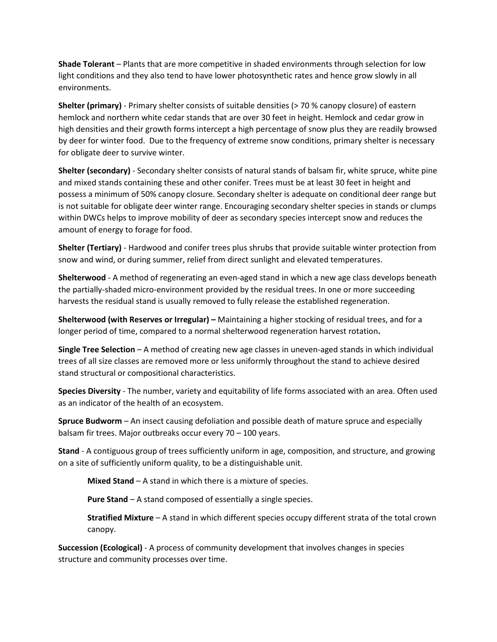**Shade Tolerant** – Plants that are more competitive in shaded environments through selection for low light conditions and they also tend to have lower photosynthetic rates and hence grow slowly in all environments.

**Shelter (primary)** - Primary shelter consists of suitable densities (> 70 % canopy closure) of eastern hemlock and northern white cedar stands that are over 30 feet in height. Hemlock and cedar grow in high densities and their growth forms intercept a high percentage of snow plus they are readily browsed by deer for winter food. Due to the frequency of extreme snow conditions, primary shelter is necessary for obligate deer to survive winter.

**Shelter (secondary)** - Secondary shelter consists of natural stands of balsam fir, white spruce, white pine and mixed stands containing these and other conifer. Trees must be at least 30 feet in height and possess a minimum of 50% canopy closure. Secondary shelter is adequate on conditional deer range but is not suitable for obligate deer winter range. Encouraging secondary shelter species in stands or clumps within DWCs helps to improve mobility of deer as secondary species intercept snow and reduces the amount of energy to forage for food.

**Shelter (Tertiary)** - Hardwood and conifer trees plus shrubs that provide suitable winter protection from snow and wind, or during summer, relief from direct sunlight and elevated temperatures.

**Shelterwood** - A method of regenerating an even-aged stand in which a new age class develops beneath the partially-shaded micro-environment provided by the residual trees. In one or more succeeding harvests the residual stand is usually removed to fully release the established regeneration.

**Shelterwood (with Reserves or Irregular) –** Maintaining a higher stocking of residual trees, and for a longer period of time, compared to a normal shelterwood regeneration harvest rotation**.** 

**Single Tree Selection** – A method of creating new age classes in uneven-aged stands in which individual trees of all size classes are removed more or less uniformly throughout the stand to achieve desired stand structural or compositional characteristics.

**Species Diversity** - The number, variety and equitability of life forms associated with an area. Often used as an indicator of the health of an ecosystem.

**Spruce Budworm** – An insect causing defoliation and possible death of mature spruce and especially balsam fir trees. Major outbreaks occur every 70 – 100 years.

**Stand** - A contiguous group of trees sufficiently uniform in age, composition, and structure, and growing on a site of sufficiently uniform quality, to be a distinguishable unit.

**Mixed Stand** – A stand in which there is a mixture of species.

**Pure Stand** – A stand composed of essentially a single species.

**Stratified Mixture** – A stand in which different species occupy different strata of the total crown canopy.

**Succession (Ecological)** - A process of community development that involves changes in species structure and community processes over time.